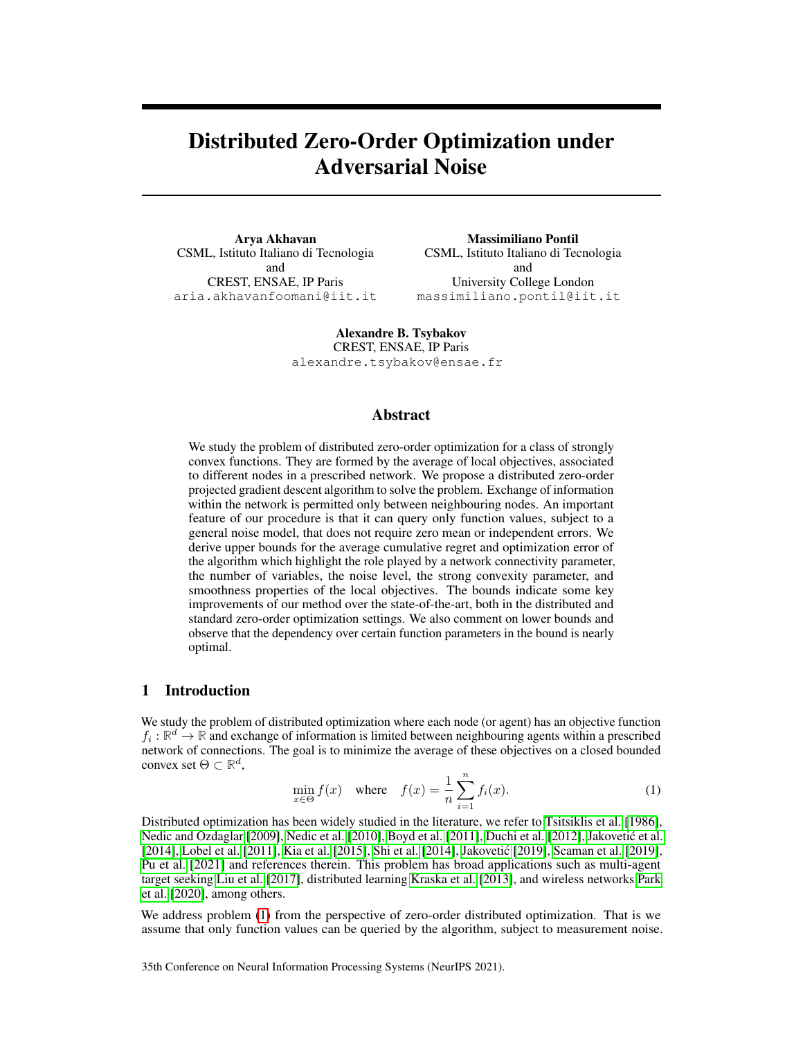# Distributed Zero-Order Optimization under Adversarial Noise

Arya Akhavan CSML, Istituto Italiano di Tecnologia and CREST, ENSAE, IP Paris aria.akhavanfoomani@iit.it

Massimiliano Pontil CSML, Istituto Italiano di Tecnologia and University College London massimiliano.pontil@iit.it

Alexandre B. Tsybakov CREST, ENSAE, IP Paris alexandre.tsybakov@ensae.fr

#### Abstract

We study the problem of distributed zero-order optimization for a class of strongly convex functions. They are formed by the average of local objectives, associated to different nodes in a prescribed network. We propose a distributed zero-order projected gradient descent algorithm to solve the problem. Exchange of information within the network is permitted only between neighbouring nodes. An important feature of our procedure is that it can query only function values, subject to a general noise model, that does not require zero mean or independent errors. We derive upper bounds for the average cumulative regret and optimization error of the algorithm which highlight the role played by a network connectivity parameter, the number of variables, the noise level, the strong convexity parameter, and smoothness properties of the local objectives. The bounds indicate some key improvements of our method over the state-of-the-art, both in the distributed and standard zero-order optimization settings. We also comment on lower bounds and observe that the dependency over certain function parameters in the bound is nearly optimal.

## 1 Introduction

We study the problem of distributed optimization where each node (or agent) has an objective function  $f_i : \mathbb{R}^d \to \mathbb{R}$  and exchange of information is limited between neighbouring agents within a prescribed network of connections. The goal is to minimize the average of these objectives on a closed bounded convex set  $\Theta \subset \mathbb{R}^d$ ,

<span id="page-0-0"></span>
$$
\min_{x \in \Theta} f(x) \quad \text{where} \quad f(x) = \frac{1}{n} \sum_{i=1}^{n} f_i(x). \tag{1}
$$

Distributed optimization has been widely studied in the literature, we refer to [Tsitsiklis et al.](#page-11-0) [\[1986\]](#page-11-0), [Nedic and Ozdaglar](#page-10-0) [\[2009\]](#page-10-0), [Nedic et al.](#page-10-1) [\[2010\]](#page-10-1), [Boyd et al.](#page-9-0) [\[2011\]](#page-9-0), [Duchi et al.](#page-10-2) [\[2012\]](#page-10-2), Jakovetić et al. [\[2014\]](#page-11-1), [Lobel et al.](#page-10-4) [\[2011\]](#page-10-4), [Kia et al.](#page-10-5) [\[2015\]](#page-10-5), [Shi et al.](#page-11-1) [2014], Jakovetić [\[2019\]](#page-11-2), [Scaman et al.](#page-11-2) [2019], [Pu et al.](#page-10-7) [\[2021\]](#page-10-7) and references therein. This problem has broad applications such as multi-agent target seeking [Liu et al.](#page-10-8) [\[2017\]](#page-10-8), distributed learning [Kraska et al.](#page-10-9) [\[2013\]](#page-10-9), and wireless networks [Park](#page-10-10) [et al.](#page-10-10) [\[2020\]](#page-10-10), among others.

We address problem [\(1\)](#page-0-0) from the perspective of zero-order distributed optimization. That is we assume that only function values can be queried by the algorithm, subject to measurement noise.

35th Conference on Neural Information Processing Systems (NeurIPS 2021).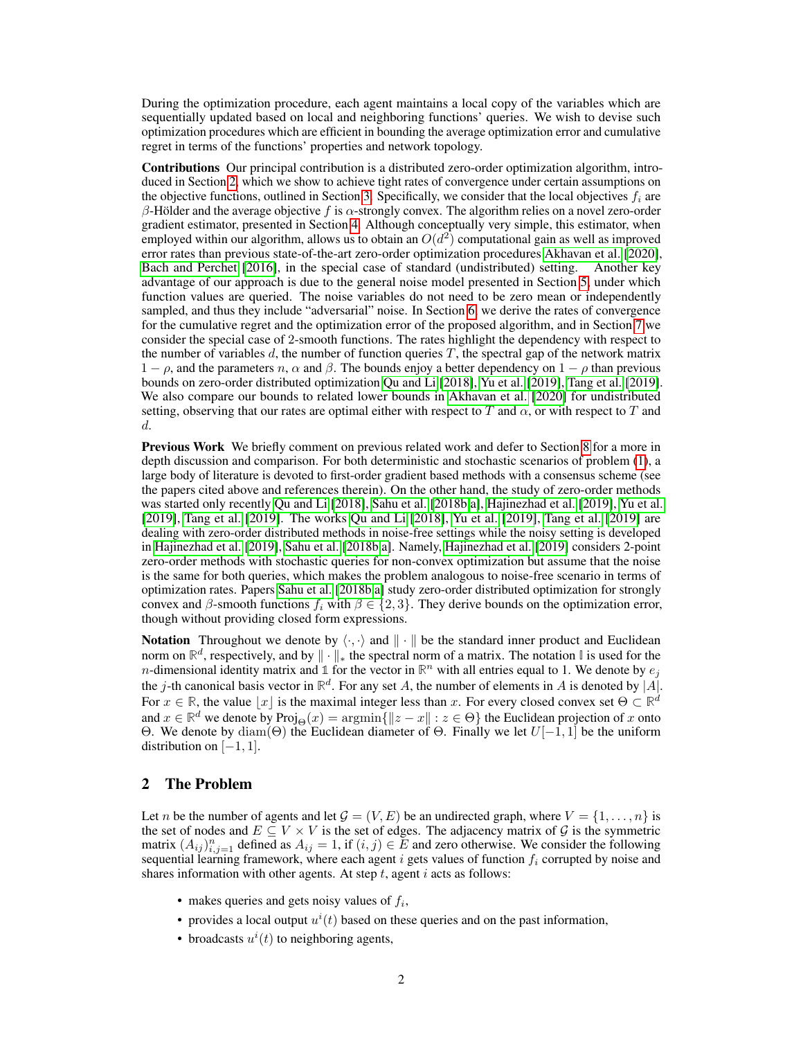During the optimization procedure, each agent maintains a local copy of the variables which are sequentially updated based on local and neighboring functions' queries. We wish to devise such optimization procedures which are efficient in bounding the average optimization error and cumulative regret in terms of the functions' properties and network topology.

Contributions Our principal contribution is a distributed zero-order optimization algorithm, introduced in Section [2,](#page-1-0) which we show to achieve tight rates of convergence under certain assumptions on the objective functions, outlined in Section [3.](#page-2-0) Specifically, we consider that the local objectives  $f_i$  are β-Hölder and the average objective f is  $\alpha$ -strongly convex. The algorithm relies on a novel zero-order gradient estimator, presented in Section [4.](#page-3-0) Although conceptually very simple, this estimator, when employed within our algorithm, allows us to obtain an  $O(d^2)$  computational gain as well as improved error rates than previous state-of-the-art zero-order optimization procedures [Akhavan et al.](#page-9-1) [\[2020\]](#page-9-1), [Bach and Perchet](#page-9-2) [\[2016\]](#page-9-2), in the special case of standard (undistributed) setting. Another key advantage of our approach is due to the general noise model presented in Section [5,](#page-4-0) under which function values are queried. The noise variables do not need to be zero mean or independently sampled, and thus they include "adversarial" noise. In Section [6,](#page-5-0) we derive the rates of convergence for the cumulative regret and the optimization error of the proposed algorithm, and in Section [7](#page-7-0) we consider the special case of 2-smooth functions. The rates highlight the dependency with respect to the number of variables  $d$ , the number of function queries  $T$ , the spectral gap of the network matrix  $1 - \rho$ , and the parameters n,  $\alpha$  and  $\beta$ . The bounds enjoy a better dependency on  $1 - \rho$  than previous bounds on zero-order distributed optimization [Qu and Li](#page-11-3) [\[2018\]](#page-11-3), [Yu et al.](#page-11-4) [\[2019\]](#page-11-4), [Tang et al.](#page-11-5) [\[2019\]](#page-11-5). We also compare our bounds to related lower bounds in [Akhavan et al.](#page-9-1) [\[2020\]](#page-9-1) for undistributed setting, observing that our rates are optimal either with respect to T and  $\alpha$ , or with respect to T and d.

Previous Work We briefly comment on previous related work and defer to Section [8](#page-8-0) for a more in depth discussion and comparison. For both deterministic and stochastic scenarios of problem [\(1\)](#page-0-0), a large body of literature is devoted to first-order gradient based methods with a consensus scheme (see the papers cited above and references therein). On the other hand, the study of zero-order methods was started only recently [Qu and Li](#page-11-3) [\[2018\]](#page-11-3), [Sahu et al.](#page-11-6) [\[2018b](#page-11-6)[,a\]](#page-11-7), [Hajinezhad et al.](#page-10-11) [\[2019\]](#page-10-11), [Yu et al.](#page-11-4) [\[2019\]](#page-11-4), [Tang et al.](#page-11-5) [\[2019\]](#page-11-5). The works [Qu and Li](#page-11-3) [\[2018\]](#page-11-3), [Yu et al.](#page-11-4) [\[2019\]](#page-11-4), [Tang et al.](#page-11-5) [\[2019\]](#page-11-5) are dealing with zero-order distributed methods in noise-free settings while the noisy setting is developed in [Hajinezhad et al.](#page-10-11) [\[2019\]](#page-10-11), [Sahu et al.](#page-11-6) [\[2018b,](#page-11-6)[a\]](#page-11-7). Namely, [Hajinezhad et al.](#page-10-11) [\[2019\]](#page-10-11) considers 2-point zero-order methods with stochastic queries for non-convex optimization but assume that the noise is the same for both queries, which makes the problem analogous to noise-free scenario in terms of optimization rates. Papers [Sahu et al.](#page-11-6) [\[2018b](#page-11-6)[,a\]](#page-11-7) study zero-order distributed optimization for strongly convex and β-smooth functions  $f_i$  with  $β ∈ {2, 3}$ . They derive bounds on the optimization error, though without providing closed form expressions.

**Notation** Throughout we denote by  $\langle \cdot, \cdot \rangle$  and  $|| \cdot ||$  be the standard inner product and Euclidean norm on  $\mathbb{R}^d$ , respectively, and by  $\|\cdot\|_*$  the spectral norm of a matrix. The notation  $\mathbb I$  is used for the *n*-dimensional identity matrix and 1 for the vector in  $\mathbb{R}^n$  with all entries equal to 1. We denote by  $e_j$ the j-th canonical basis vector in  $\mathbb{R}^d$ . For any set A, the number of elements in A is denoted by |A|. For  $x \in \mathbb{R}$ , the value  $\lfloor x \rfloor$  is the maximal integer less than x. For every closed convex set  $\Theta \subset \mathbb{R}^d$ and  $x \in \mathbb{R}^d$  we denote by  $\text{Proj}_{\Theta}(x) = \arg\min\{\Vert z - x\Vert : z \in \Theta\}$  the Euclidean projection of x onto Θ. We denote by diam(Θ) the Euclidean diameter of Θ. Finally we let  $U[-1, 1]$  be the uniform distribution on [−1, 1].

## <span id="page-1-0"></span>2 The Problem

Let n be the number of agents and let  $\mathcal{G} = (V, E)$  be an undirected graph, where  $V = \{1, \ldots, n\}$  is the set of nodes and  $E \subseteq V \times V$  is the set of edges. The adjacency matrix of G is the symmetric matrix  $(A_{ij})_{i,j=1}^n$  defined as  $A_{ij} = 1$ , if  $(i, j) \in \overline{E}$  and zero otherwise. We consider the following sequential learning framework, where each agent i gets values of function  $f_i$  corrupted by noise and shares information with other agents. At step  $t$ , agent  $i$  acts as follows:

- makes queries and gets noisy values of  $f_i$ ,
- provides a local output  $u^{i}(t)$  based on these queries and on the past information,
- broadcasts  $u^i(t)$  to neighboring agents,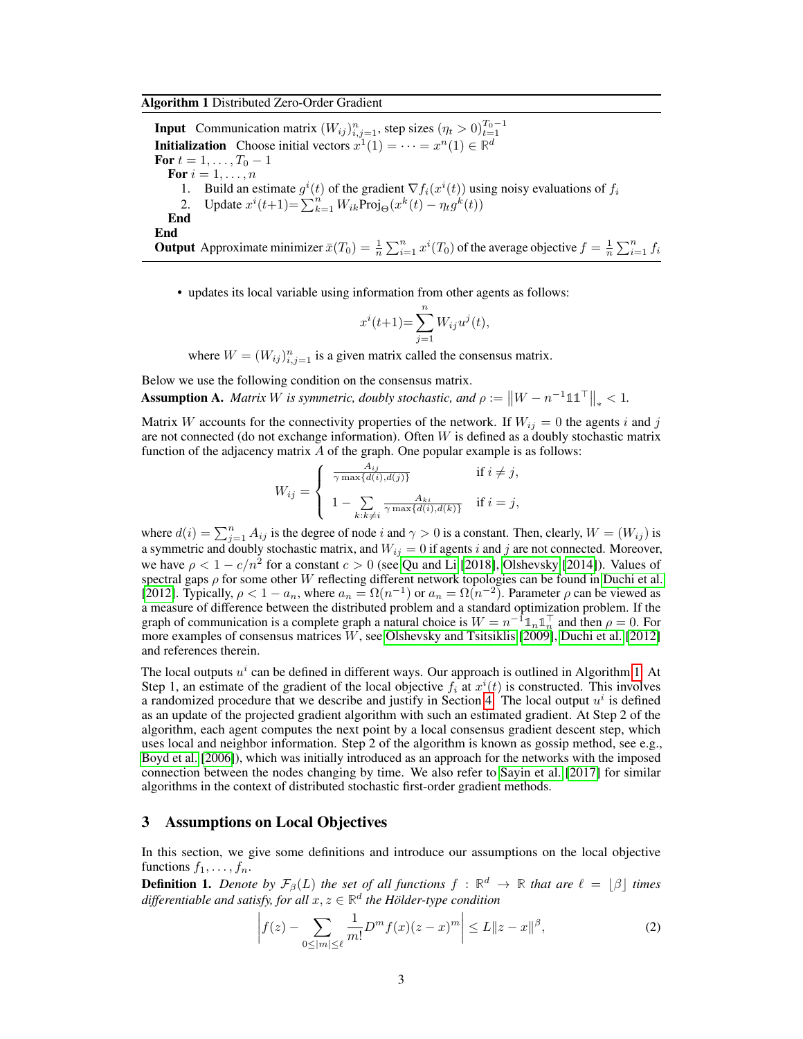## <span id="page-2-1"></span>Algorithm 1 Distributed Zero-Order Gradient

**Input** Communication matrix  $(W_{ij})_{i,j=1}^n$ , step sizes  $(\eta_t > 0)_{t=1}^{T_0-1}$ **Initialization** Choose initial vectors  $x^1(1) = \cdots = x^n(1) \in \mathbb{R}^d$ For  $t = 1, \ldots, T_0 - 1$ For  $i = 1, \ldots, n$ 1. Build an estimate  $g^{i}(t)$  of the gradient  $\nabla f_{i}(x^{i}(t))$  using noisy evaluations of  $f_{i}$ 2. Update  $x^{i}(t+1) = \sum_{k=1}^{n} W_{ik}$ Proj $\Theta(x^{k}(t) - \eta_{t}g^{k}(t))$ End End **Output** Approximate minimizer  $\bar{x}(T_0) = \frac{1}{n} \sum_{i=1}^n x^i(T_0)$  of the average objective  $f = \frac{1}{n} \sum_{i=1}^n f_i$ 

• updates its local variable using information from other agents as follows:

$$
x^{i}(t+1) = \sum_{j=1}^{n} W_{ij}u^{j}(t),
$$

where  $W = (W_{ij})_{i,j=1}^n$  is a given matrix called the consensus matrix.

Below we use the following condition on the consensus matrix.

<span id="page-2-2"></span>Assumption A. *Matrix* W *is symmetric, doubly stochastic, and*  $\rho := \|W - n^{-1} \mathbb{1} \mathbb{1}^\top\|_* < 1$ .

Matrix W accounts for the connectivity properties of the network. If  $W_{ij} = 0$  the agents i and j are not connected (do not exchange information). Often  $W$  is defined as a doubly stochastic matrix function of the adjacency matrix A of the graph. One popular example is as follows:

$$
W_{ij} = \begin{cases} \frac{A_{ij}}{\gamma \max\{d(i), d(j)\}} & \text{if } i \neq j, \\ 1 - \sum_{k: k \neq i} \frac{A_{ki}}{\gamma \max\{d(i), d(k)\}} & \text{if } i = j, \end{cases}
$$

where  $d(i) = \sum_{j=1}^{n} A_{ij}$  is the degree of node i and  $\gamma > 0$  is a constant. Then, clearly,  $W = (W_{ij})$  is a symmetric and doubly stochastic matrix, and  $W_{ii} = 0$  if agents i and j are not connected. Moreover, we have  $\rho < 1 - c/n^2$  for a constant  $c > 0$  (see [Qu and Li](#page-11-3) [\[2018\]](#page-11-3), [Olshevsky](#page-10-12) [\[2014\]](#page-10-12)). Values of spectral gaps  $\rho$  for some other W reflecting different network topologies can be found in [Duchi et al.](#page-10-2) [\[2012\]](#page-10-2). Typically,  $\rho < 1 - a_n$ , where  $a_n = \Omega(n^{-1})$  or  $a_n = \Omega(n^{-2})$ . Parameter  $\rho$  can be viewed as a measure of difference between the distributed problem and a standard optimization problem. If the graph of communication is a complete graph a natural choice is  $W = n^{-1} \mathbb{1}_n \mathbb{1}_n^{\top}$  and then  $\rho = 0$ . For more examples of consensus matrices W, see [Olshevsky and Tsitsiklis](#page-10-13) [\[2009\]](#page-10-13), [Duchi et al.](#page-10-2) [\[2012\]](#page-10-2) and references therein.

The local outputs  $u^i$  can be defined in different ways. Our approach is outlined in Algorithm [1.](#page-2-1) At Step 1, an estimate of the gradient of the local objective  $f_i$  at  $x^i(t)$  is constructed. This involves a randomized procedure that we describe and justify in Section [4.](#page-3-0) The local output  $u^i$  is defined as an update of the projected gradient algorithm with such an estimated gradient. At Step 2 of the algorithm, each agent computes the next point by a local consensus gradient descent step, which uses local and neighbor information. Step 2 of the algorithm is known as gossip method, see e.g., [Boyd et al.](#page-9-3) [\[2006\]](#page-9-3)), which was initially introduced as an approach for the networks with the imposed connection between the nodes changing by time. We also refer to [Sayin et al.](#page-11-8) [\[2017\]](#page-11-8) for similar algorithms in the context of distributed stochastic first-order gradient methods.

## <span id="page-2-0"></span>3 Assumptions on Local Objectives

In this section, we give some definitions and introduce our assumptions on the local objective functions  $f_1, \ldots, f_n$ .

**Definition 1.** Denote by  $\mathcal{F}_{\beta}(L)$  the set of all functions  $f : \mathbb{R}^d \to \mathbb{R}$  that are  $\ell = \lfloor \beta \rfloor$  times differentiable and satisfy, for all  $x, z \in \mathbb{R}^d$  the Hölder-type condition

$$
\left| f(z) - \sum_{0 \le |m| \le \ell} \frac{1}{m!} D^m f(x) (z - x)^m \right| \le L \|z - x\|^\beta,
$$
 (2)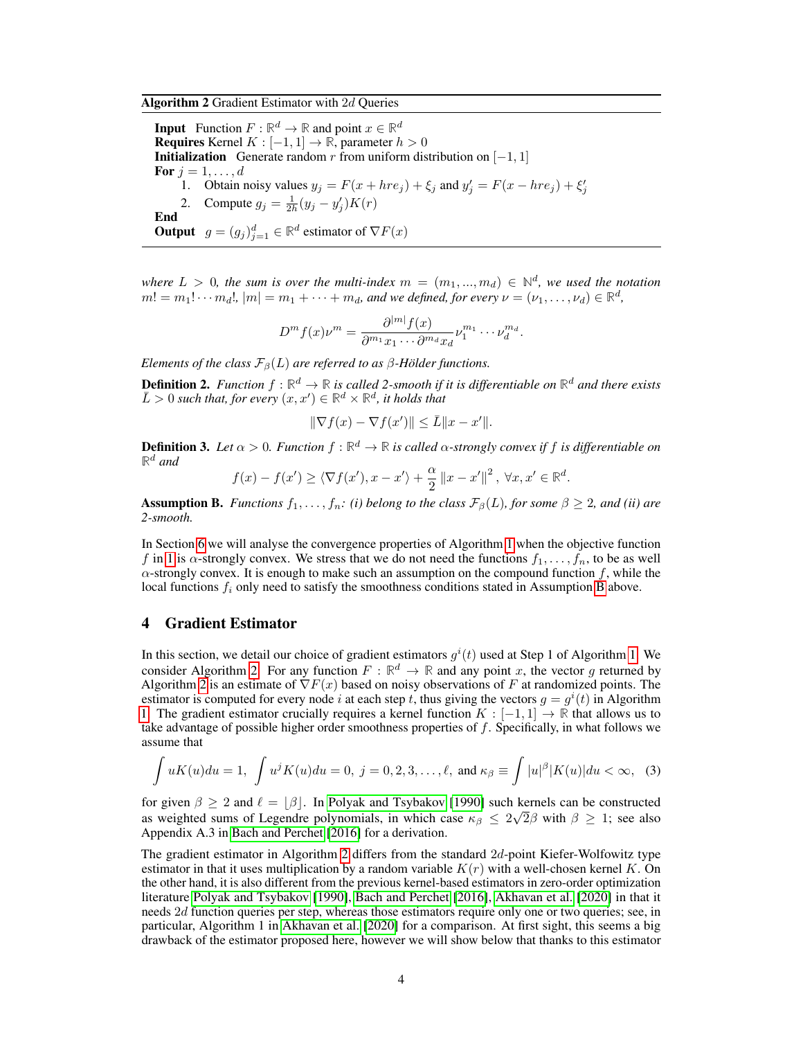<span id="page-3-2"></span>Algorithm 2 Gradient Estimator with 2d Queries

**Input** Function  $F : \mathbb{R}^d \to \mathbb{R}$  and point  $x \in \mathbb{R}^d$ **Requires** Kernel  $K : [-1, 1] \rightarrow \mathbb{R}$ , parameter  $h > 0$ **Initialization** Generate random r from uniform distribution on  $[-1, 1]$ For  $j = 1, \ldots, d$ 1. Obtain noisy values  $y_j = F(x + h r e_j) + \xi_j$  and  $y'_j = F(x - h r e_j) + \xi'_j$ 2. Compute  $g_j = \frac{1}{2h}(y_j - y'_j)K(r)$ End **Output**  $g = (g_j)_{j=1}^d \in \mathbb{R}^d$  estimator of  $\nabla F(x)$ 

*where*  $L > 0$ , the sum is over the multi-index  $m = (m_1, ..., m_d) \in \mathbb{N}^d$ , we used the notation  $m! = m_1! \cdots m_d!$ ,  $|m| = m_1 + \cdots + m_d$ , and we defined, for every  $\nu = (\nu_1, \ldots, \nu_d) \in \mathbb{R}^d$ ,

$$
D^{m} f(x) \nu^{m} = \frac{\partial^{|m|} f(x)}{\partial^{m_1} x_1 \cdots \partial^{m_d} x_d} \nu_1^{m_1} \cdots \nu_d^{m_d}.
$$

*Elements of the class*  $\mathcal{F}_{\beta}(L)$  *are referred to as*  $\beta$ *-Hölder functions.* 

**Definition 2.** Function  $f : \mathbb{R}^d \to \mathbb{R}$  is called 2-smooth if it is differentiable on  $\mathbb{R}^d$  and there exists  $\overline{L} > 0$  such that, for every  $(x, x') \in \mathbb{R}^d \times \mathbb{R}^d$ , it holds that

$$
\|\nabla f(x) - \nabla f(x')\| \le \bar{L} \|x - x'\|.
$$

**Definition 3.** Let  $\alpha > 0$ . Function  $f : \mathbb{R}^d \to \mathbb{R}$  is called  $\alpha$ -strongly convex if  $f$  is differentiable on  $\mathbb{R}^d$  and

$$
f(x) - f(x') \ge \langle \nabla f(x'), x - x' \rangle + \frac{\alpha}{2} ||x - x'||^2, \ \forall x, x' \in \mathbb{R}^d.
$$

<span id="page-3-1"></span>**Assumption B.** *Functions*  $f_1, \ldots, f_n$ : (i) belong to the class  $\mathcal{F}_{\beta}(L)$ , for some  $\beta \geq 2$ , and (ii) are *2-smooth.*

In Section [6](#page-5-0) we will analyse the convergence properties of Algorithm [1](#page-2-1) when the objective function f in [1](#page-0-0) is  $\alpha$ -strongly convex. We stress that we do not need the functions  $f_1, \ldots, f_n$ , to be as well  $\alpha$ -strongly convex. It is enough to make such an assumption on the compound function f, while the local functions  $f_i$  only need to satisfy the smoothness conditions stated in Assumption [B](#page-3-1) above.

## <span id="page-3-0"></span>4 Gradient Estimator

In this section, we detail our choice of gradient estimators  $g^{i}(t)$  used at Step 1 of Algorithm [1.](#page-2-1) We consider Algorithm [2.](#page-3-2) For any function  $F : \mathbb{R}^d \to \mathbb{R}$  and any point x, the vector g returned by Algorithm [2](#page-3-2) is an estimate of  $\nabla F(x)$  based on noisy observations of F at randomized points. The estimator is computed for every node i at each step t, thus giving the vectors  $g = g^{i}(t)$  in Algorithm [1.](#page-2-1) The gradient estimator crucially requires a kernel function  $K : [-1,1] \to \mathbb{R}$  that allows us to take advantage of possible higher order smoothness properties of  $f$ . Specifically, in what follows we assume that

<span id="page-3-3"></span>
$$
\int uK(u)du = 1, \int u^jK(u)du = 0, \ j = 0, 2, 3, \dots, \ell, \text{ and } \kappa_\beta \equiv \int |u|^\beta |K(u)|du < \infty, \tag{3}
$$

for given  $\beta \ge 2$  and  $\ell = [\beta]$ . In [Polyak and Tsybakov](#page-10-14) [\[1990\]](#page-10-14) such kernels can be constructed as weighted sums of Legendre polynomials, in which case  $\kappa_{\beta} \leq 2\sqrt{2\beta}$  with  $\beta \geq 1$ ; see also Appendix A.3 in [Bach and Perchet](#page-9-2) [\[2016\]](#page-9-2) for a derivation.

The gradient estimator in Algorithm [2](#page-3-2) differs from the standard  $2d$ -point Kiefer-Wolfowitz type estimator in that it uses multiplication by a random variable  $K(r)$  with a well-chosen kernel K. On the other hand, it is also different from the previous kernel-based estimators in zero-order optimization literature [Polyak and Tsybakov](#page-10-14) [\[1990\]](#page-10-14), [Bach and Perchet](#page-9-2) [\[2016\]](#page-9-2), [Akhavan et al.](#page-9-1) [\[2020\]](#page-9-1) in that it needs 2d function queries per step, whereas those estimators require only one or two queries; see, in particular, Algorithm 1 in [Akhavan et al.](#page-9-1) [\[2020\]](#page-9-1) for a comparison. At first sight, this seems a big drawback of the estimator proposed here, however we will show below that thanks to this estimator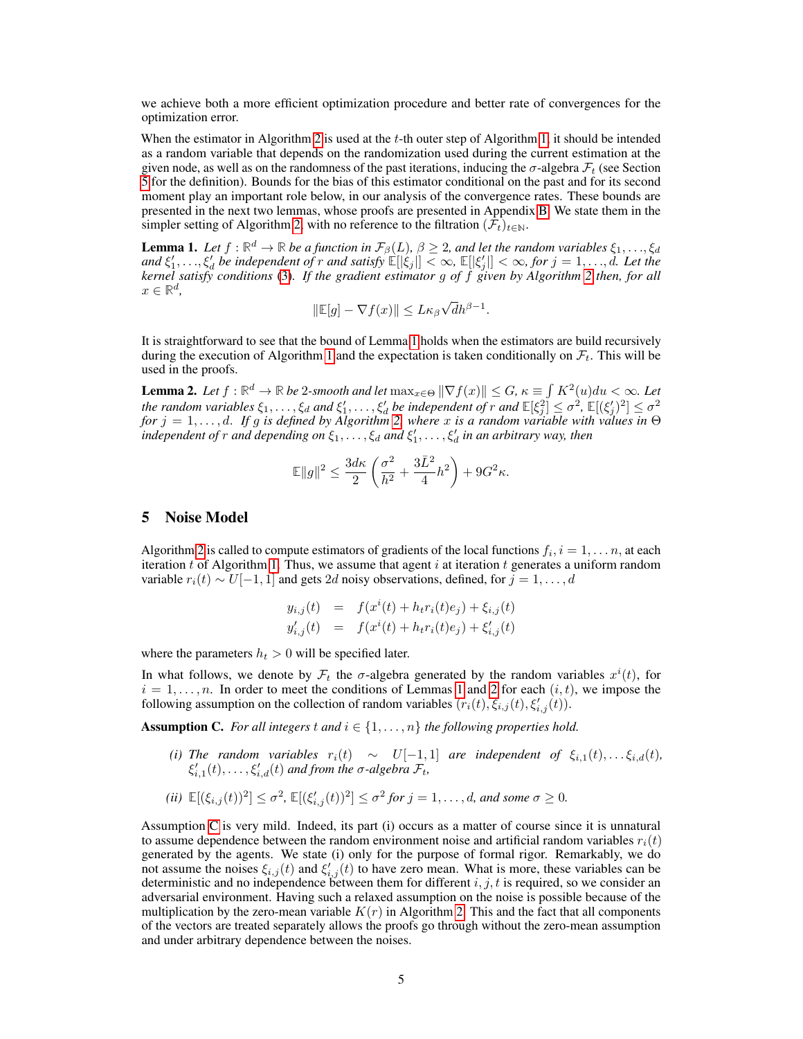we achieve both a more efficient optimization procedure and better rate of convergences for the optimization error.

When the estimator in Algorithm [2](#page-3-2) is used at the  $t$ -th outer step of Algorithm [1,](#page-2-1) it should be intended as a random variable that depends on the randomization used during the current estimation at the given node, as well as on the randomness of the past iterations, inducing the  $\sigma$ -algebra  $\mathcal{F}_t$  (see Section [5](#page-4-0) for the definition). Bounds for the bias of this estimator conditional on the past and for its second moment play an important role below, in our analysis of the convergence rates. These bounds are presented in the next two lemmas, whose proofs are presented in Appendix [B.](#page--1-0) We state them in the simpler setting of Algorithm [2,](#page-3-2) with no reference to the filtration  $(\mathcal{F}_t)_{t\in\mathbb{N}}$ .

<span id="page-4-1"></span>**Lemma 1.** Let  $f : \mathbb{R}^d \to \mathbb{R}$  be a function in  $\mathcal{F}_{\beta}(L)$ ,  $\beta \geq 2$ , and let the random variables  $\xi_1, \ldots, \xi_d$  $\int f(x,y) \, dx \leq f(x)$ ,  $\int f(x,y) \, dx$  independent of r and satisfy  $\mathbb{E}[|\xi_j|] < \infty$ ,  $\mathbb{E}[|\xi_j|] < \infty$ , for  $j = 1, \ldots, d$ . Let the *kernel satisfy conditions* [\(3\)](#page-3-3)*. If the gradient estimator* g *of* f *given by Algorithm [2](#page-3-2) then, for all*  $x \in \mathbb{R}^d$ , √

$$
\|\mathbb{E}[g] - \nabla f(x)\| \le L\kappa_{\beta}\sqrt{d}h^{\beta - 1}.
$$

It is straightforward to see that the bound of Lemma [1](#page-4-1) holds when the estimators are build recursively during the execution of Algorithm [1](#page-2-1) and the expectation is taken conditionally on  $\mathcal{F}_t$ . This will be used in the proofs.

<span id="page-4-2"></span>**Lemma 2.** Let  $f : \mathbb{R}^d \to \mathbb{R}$  be 2-smooth and let  $\max_{x \in \Theta} \|\nabla f(x)\| \leq G$ ,  $\kappa \equiv \int K^2(u) du < \infty$ . Let *the random variables*  $\xi_1,\ldots,\xi_d$  *and*  $\xi'_1,\ldots,\xi'_d$  *be independent of* r *and*  $\mathbb{E}[\xi_j^2] \leq \sigma^2$ ,  $\mathbb{E}[(\xi_j')^2] \leq \sigma^2$ *for* j = 1, . . . , d. *If* g *is defined by Algorithm [2,](#page-3-2) where* x *is a random variable with values in* Θ  $\mathcal{L}$ *independent of r and depending on*  $\xi_1, \ldots, \xi_d$  *and*  $\xi'_1, \ldots, \xi'_d$  *in an arbitrary way, then* 

$$
\mathbb{E}\|g\|^2 \le \frac{3d\kappa}{2}\left(\frac{\sigma^2}{h^2} + \frac{3\bar{L}^2}{4}h^2\right) + 9G^2\kappa.
$$

#### <span id="page-4-0"></span>5 Noise Model

Algorithm [2](#page-3-2) is called to compute estimators of gradients of the local functions  $f_i$ ,  $i = 1, \ldots n$ , at each iteration t of Algorithm [1.](#page-2-1) Thus, we assume that agent i at iteration t generates a uniform random variable  $r_i(t) \sim U[-1, 1]$  and gets 2d noisy observations, defined, for  $j = 1, \ldots, d$ 

$$
y_{i,j}(t) = f(x^{i}(t) + h_{t}r_{i}(t)e_{j}) + \xi_{i,j}(t)
$$
  

$$
y'_{i,j}(t) = f(x^{i}(t) + h_{t}r_{i}(t)e_{j}) + \xi'_{i,j}(t)
$$

where the parameters  $h_t > 0$  will be specified later.

In what follows, we denote by  $\mathcal{F}_t$  the  $\sigma$ -algebra generated by the random variables  $x^i(t)$ , for  $i = 1, \ldots, n$  $i = 1, \ldots, n$  $i = 1, \ldots, n$ . In order to meet the conditions of Lemmas 1 and [2](#page-4-2) for each  $(i, t)$ , we impose the following assumption on the collection of random variables  $(r_i(t), \xi_{i,j}(t), \xi_{i,j}'(t))$ .

<span id="page-4-3"></span>**Assumption C.** For all integers t and  $i \in \{1, \ldots, n\}$  the following properties hold.

- *(i) The random variables*  $r_i(t)$  ∼  $U[-1,1]$  *are independent of*  $\xi_{i,1}(t), \ldots, \xi_{i,d}(t)$ *,*  $\xi'_{i,1}(t), \ldots, \xi'_{i,d}(t)$  and from the  $\sigma$ -algebra  $\mathcal{F}_t$ ,
- $\mathbb{E}[(\xi_{i,j}(t))^2] \leq \sigma^2$ ,  $\mathbb{E}[(\xi'_{i,j}(t))^2] \leq \sigma^2$  for  $j = 1, \ldots, d$ , and some  $\sigma \geq 0$ .

Assumption [C](#page-4-3) is very mild. Indeed, its part (i) occurs as a matter of course since it is unnatural to assume dependence between the random environment noise and artificial random variables  $r_i(t)$ generated by the agents. We state (i) only for the purpose of formal rigor. Remarkably, we do not assume the noises  $\xi_{i,j}(t)$  and  $\xi'_{i,j}(t)$  to have zero mean. What is more, these variables can be deterministic and no independence between them for different  $i, j, t$  is required, so we consider an adversarial environment. Having such a relaxed assumption on the noise is possible because of the multiplication by the zero-mean variable  $K(r)$  in Algorithm [2.](#page-3-2) This and the fact that all components of the vectors are treated separately allows the proofs go through without the zero-mean assumption and under arbitrary dependence between the noises.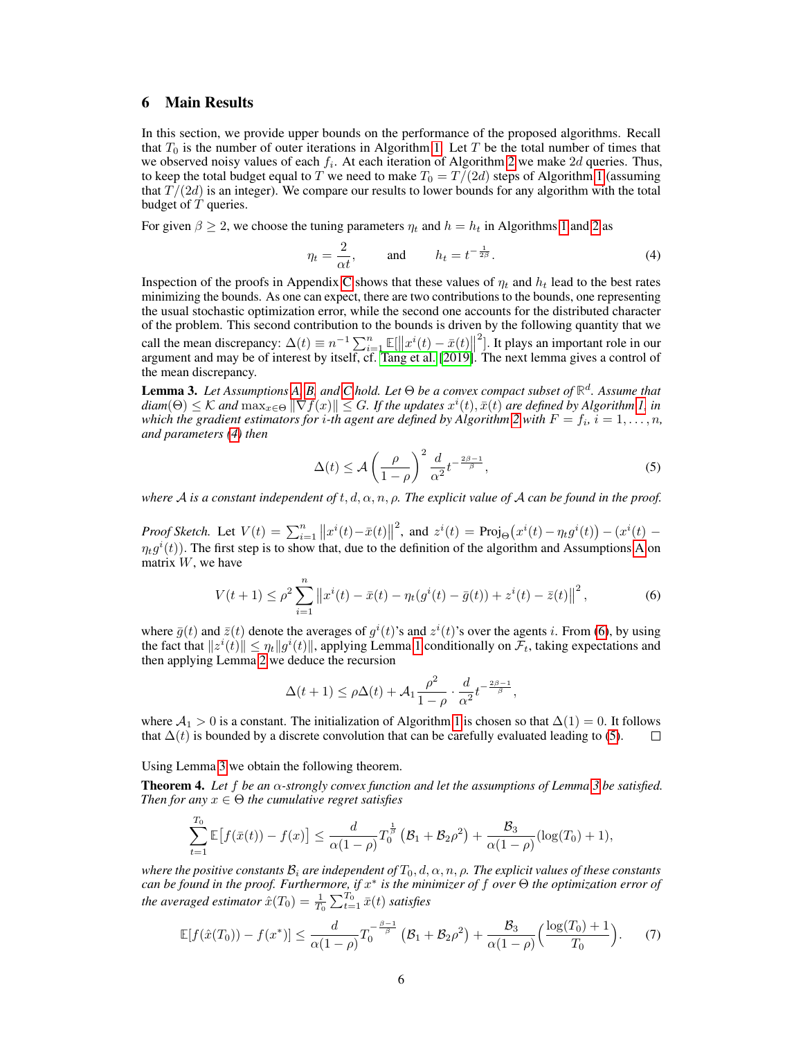## <span id="page-5-0"></span>6 Main Results

In this section, we provide upper bounds on the performance of the proposed algorithms. Recall that  $T_0$  is the number of outer iterations in Algorithm [1.](#page-2-1) Let T be the total number of times that we observed noisy values of each  $f_i$ . At each iteration of Algorithm [2](#page-3-2) we make 2d queries. Thus, to keep the total budget equal to T we need to make  $T_0 = T/(2d)$  steps of Algorithm [1](#page-2-1) (assuming that  $T/(2d)$  is an integer). We compare our results to lower bounds for any algorithm with the total budget of  $T$  queries.

For given  $\beta \ge 2$  $\beta \ge 2$ , we choose the tuning parameters  $\eta_t$  and  $h = h_t$  in Algorithms [1](#page-2-1) and 2 as

<span id="page-5-1"></span>
$$
\eta_t = \frac{2}{\alpha t}, \quad \text{and} \quad h_t = t^{-\frac{1}{2\beta}}.
$$
 (4)

Inspection of the proofs in Appendix [C](#page--1-1) shows that these values of  $\eta_t$  and  $h_t$  lead to the best rates minimizing the bounds. As one can expect, there are two contributions to the bounds, one representing the usual stochastic optimization error, while the second one accounts for the distributed character of the problem. This second contribution to the bounds is driven by the following quantity that we call the mean discrepancy:  $\Delta(t) \equiv n^{-1} \sum_{i=1}^{n} \mathbb{E}[\Vert x^{i}(t) - \bar{x}(t) \Vert]$ 2 ]. It plays an important role in our argument and may be of interest by itself, cf. [Tang et al.](#page-11-5) [\[2019\]](#page-11-5). The next lemma gives a control of the mean discrepancy.

<span id="page-5-4"></span>Lemma 3. *Let Assumptions [A,](#page-2-2) [B,](#page-3-1) and [C](#page-4-3) hold. Let* Θ *be a convex compact subset of* **R** d *. Assume that*  $dim(\Theta) \leq K$  and  $\max_{x \in \Theta} \|\nabla f(x)\| \leq G$ . If the updates  $x^i(t), \bar{x}(t)$  are defined by Algorithm [1,](#page-2-1) in which the gradient estimators for  $i$ -th agent are defined by Algorithm [2](#page-3-2) with  $F = f_i$ ,  $i = 1, \ldots, n$ , *and parameters [\(4\)](#page-5-1) then*

<span id="page-5-3"></span><span id="page-5-2"></span>
$$
\Delta(t) \le \mathcal{A} \left(\frac{\rho}{1-\rho}\right)^2 \frac{d}{\alpha^2} t^{-\frac{2\beta-1}{\beta}},\tag{5}
$$

*where* A *is a constant independent of*  $t, d, \alpha, n, \rho$ . The explicit value of A can be found in the proof.

*Proof Sketch.* Let  $V(t) = \sum_{i=1}^{n} ||x^{i}(t) - \bar{x}(t)||$ <sup>2</sup>, and  $z^{i}(t) = \text{Proj}_{\Theta}(x^{i}(t) - \eta_{t}g^{i}(t)) - (x^{i}(t) \eta_t g^i(t)$ ). The first step is to show that, due to the definition of the algorithm and [A](#page-2-2)ssumptions A on matrix  $W$ , we have

$$
V(t+1) \le \rho^2 \sum_{i=1}^n \left\| x^i(t) - \bar{x}(t) - \eta_t(g^i(t) - \bar{g}(t)) + z^i(t) - \bar{z}(t) \right\|^2, \tag{6}
$$

where  $\bar{g}(t)$  and  $\bar{z}(t)$  denote the averages of  $g^{i}(t)$ 's and  $z^{i}(t)$ 's over the agents i. From [\(6\)](#page-5-2), by using the fact that  $||z^i(t)|| \leq \eta_t ||g^i(t)||$ , applying Lemma [1](#page-4-1) conditionally on  $\mathcal{F}_t$ , taking expectations and then applying Lemma [2](#page-4-2) we deduce the recursion

<span id="page-5-6"></span>
$$
\Delta(t+1)\leq\rho\Delta(t)+\mathcal{A}_1\frac{\rho^2}{1-\rho}\cdot\frac{d}{\alpha^2}t^{-\frac{2\beta-1}{\beta}},
$$

where  $A_1 > 0$  is a constant. The initialization of Algorithm [1](#page-2-1) is chosen so that  $\Delta(1) = 0$ . It follows that  $\Delta(t)$  is bounded by a discrete convolution that can be carefully evaluated leading to [\(5\)](#page-5-3).  $\Box$ 

Using Lemma [3](#page-5-4) we obtain the following theorem.

<span id="page-5-5"></span>**Theorem 4.** Let f be an  $\alpha$ -strongly convex function and let the assumptions of Lemma [3](#page-5-4) be satisfied. *Then for any*  $x \in \Theta$  *the cumulative regret satisfies* 

$$
\sum_{t=1}^{T_0} \mathbb{E} \big[ f(\bar{x}(t)) - f(x) \big] \le \frac{d}{\alpha (1-\rho)} T_0^{\frac{1}{\beta}} \left( \mathcal{B}_1 + \mathcal{B}_2 \rho^2 \right) + \frac{\mathcal{B}_3}{\alpha (1-\rho)} (\log(T_0) + 1),
$$

*where the positive constants*  $B_i$  *are independent of*  $T_0$ ,  $d$ ,  $\alpha$ ,  $n$ ,  $\rho$ . The explicit values of these constants *can be found in the proof. Furthermore, if* x ∗ *is the minimizer of* f *over* Θ *the optimization error of the averaged estimator*  $\hat{x}(T_0) = \frac{1}{T_0} \sum_{t=1}^{T_0} \bar{x}(t)$  *satisfies* 

$$
\mathbb{E}[f(\hat{x}(T_0)) - f(x^*)] \le \frac{d}{\alpha(1-\rho)} T_0^{-\frac{\beta-1}{\beta}} (\mathcal{B}_1 + \mathcal{B}_2 \rho^2) + \frac{\mathcal{B}_3}{\alpha(1-\rho)} (\frac{\log(T_0) + 1}{T_0}).
$$
 (7)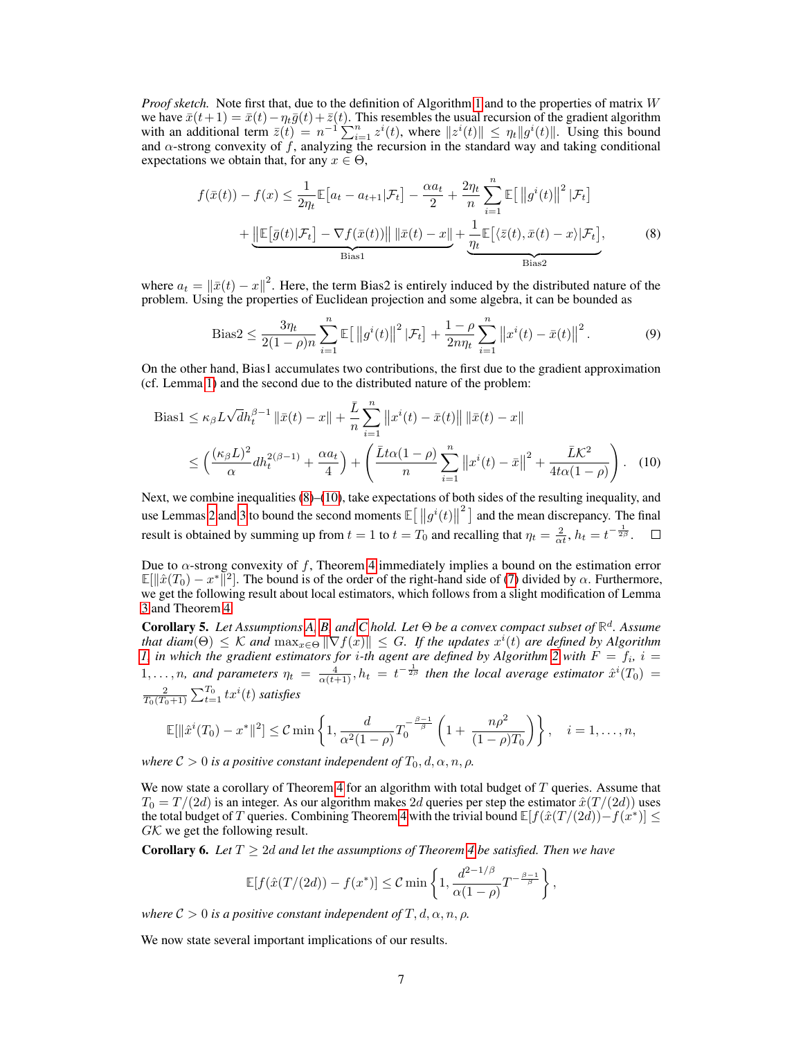*Proof sketch.* Note first that, due to the definition of Algorithm [1](#page-2-1) and to the properties of matrix W we have  $\bar{x}(t+1) = \bar{x}(t) - \eta_t \bar{g}(t) + \bar{z}(t)$ . This resembles the usual recursion of the gradient algorithm with an additional term  $\overline{z}(t) = n^{-1} \sum_{i=1}^n z^i(t)$ , where  $||z^i(t)|| \leq \eta_t ||g^i(t)||$ . Using this bound and  $\alpha$ -strong convexity of f, analyzing the recursion in the standard way and taking conditional expectations we obtain that, for any  $x \in \Theta$ ,

$$
f(\bar{x}(t)) - f(x) \le \frac{1}{2\eta_t} \mathbb{E}\left[a_t - a_{t+1}|\mathcal{F}_t\right] - \frac{\alpha a_t}{2} + \frac{2\eta_t}{n} \sum_{i=1}^n \mathbb{E}\left[\left\|g^i(t)\right\|^2|\mathcal{F}_t\right] + \underbrace{\left\|\mathbb{E}\left[\bar{g}(t)|\mathcal{F}_t\right] - \nabla f(\bar{x}(t))\right\| \|\bar{x}(t) - x\|}_{\text{Bias1}} + \underbrace{\frac{1}{\eta_t} \mathbb{E}\left[\langle\bar{z}(t), \bar{x}(t) - x|\mathcal{F}_t\right]}_{\text{Bias2}},
$$
\n(8)

where  $a_t = ||\bar{x}(t) - x||^2$ . Here, the term Bias2 is entirely induced by the distributed nature of the problem. Using the properties of Euclidean projection and some algebra, it can be bounded as

<span id="page-6-1"></span><span id="page-6-0"></span>Bias2 
$$
\leq \frac{3\eta_t}{2(1-\rho)n} \sum_{i=1}^n \mathbb{E} [\left\|g^i(t)\right\|^2 |\mathcal{F}_t] + \frac{1-\rho}{2n\eta_t} \sum_{i=1}^n \left\|x^i(t) - \bar{x}(t)\right\|^2.
$$
 (9)

On the other hand, Bias1 accumulates two contributions, the first due to the gradient approximation (cf. Lemma [1\)](#page-4-1) and the second due to the distributed nature of the problem:

Bias1 
$$
\leq \kappa_{\beta} L \sqrt{d} h_t^{\beta - 1} \|\bar{x}(t) - x\| + \frac{\bar{L}}{n} \sum_{i=1}^n \|x^i(t) - \bar{x}(t)\| \|\bar{x}(t) - x\|
$$
  
 $\leq \left(\frac{(\kappa_{\beta} L)^2}{\alpha} d h_t^{2(\beta - 1)} + \frac{\alpha a_t}{4}\right) + \left(\frac{\bar{L} t \alpha (1 - \rho)}{n} \sum_{i=1}^n \|x^i(t) - \bar{x}\|^2 + \frac{\bar{L} \mathcal{K}^2}{4 t \alpha (1 - \rho)}\right).$  (10)

Next, we combine inequalities [\(8\)](#page-6-0)–[\(10\)](#page-6-1), take expectations of both sides of the resulting inequality, and use Lemmas [2](#page-4-2) and [3](#page-5-4) to bound the second moments  $\mathbb{E}[\Vert g^{i}(t)\Vert^{2}]$  and the mean discrepancy. The final result is obtained by summing up from  $t = 1$  to  $t = T_0$  and recalling that  $\eta_t = \frac{2}{\alpha t}$ ,  $h_t = t^{-\frac{1}{2\beta}}$ .  $\Box$ 

Due to  $\alpha$ -strong convexity of f, Theorem [4](#page-5-5) immediately implies a bound on the estimation error  $\mathbb{E}[\|\hat{x}(T_0) - x^*\|^2]$ . The bound is of the order of the right-hand side of [\(7\)](#page-5-6) divided by  $\alpha$ . Furthermore, we get the following result about local estimators, which follows from a slight modification of Lemma [3](#page-5-4) and Theorem [4.](#page-5-5)

Corollary 5. *Let Assumptions [A,](#page-2-2) [B,](#page-3-1) and [C](#page-4-3) hold. Let* Θ *be a convex compact subset of* **R** d *. Assume* that diam( $\Theta$ )  $\leq$  K and  $\max_{x \in \Theta} \|\nabla f(x)\| \leq G$ . If the updates  $x^i(t)$  are defined by Algorithm *1*, in which the gradient estimators for *i*-th agent are defined by Algorithm [2](#page-3-2) with  $F = f_i$ ,  $i =$ 1,..., *n*, and parameters  $\eta_t = \frac{4}{\alpha(t+1)}$ ,  $h_t = t^{-\frac{1}{2\beta}}$  then the local average estimator  $\hat{x}^i(T_0)$  =  $\frac{2}{T_0(T_0+1)}\sum_{t=1}^{T_0} t x^i(t)$  satisfies

$$
\mathbb{E}[\|\hat{x}^{i}(T_0)-x^*\|^2] \leq C \min\left\{1, \frac{d}{\alpha^2(1-\rho)}T_0^{-\frac{\beta-1}{\beta}}\left(1+\frac{n\rho^2}{(1-\rho)T_0}\right)\right\}, \quad i=1,\ldots,n,
$$

*where*  $C > 0$  *is a positive constant independent of*  $T_0, d, \alpha, n, \rho$ *.* 

We now state a corollary of Theorem [4](#page-5-5) for an algorithm with total budget of  $T$  queries. Assume that  $T_0 = T/(2d)$  is an integer. As our algorithm makes  $2d$  queries per step the estimator  $\hat{x}(T/(2d))$  uses the total budget of T queries. Combining Theorem [4](#page-5-5) with the trivial bound  $\mathbb{E}[f(\hat{x}(T/(2d)) - f(x^*))] \le$  $GK$  we get the following result.

<span id="page-6-2"></span>**Corollary 6.** Let  $T \geq 2d$  and let the assumptions of Theorem [4](#page-5-5) be satisfied. Then we have

$$
\mathbb{E}[f(\hat{x}(T/(2d)) - f(x^*)] \leq C \min\left\{1, \frac{d^{2-1/\beta}}{\alpha(1-\rho)}T^{-\frac{\beta-1}{\beta}}\right\},\
$$

*where*  $C > 0$  *is a positive constant independent of*  $T, d, \alpha, n, \rho$ .

<span id="page-6-3"></span>We now state several important implications of our results.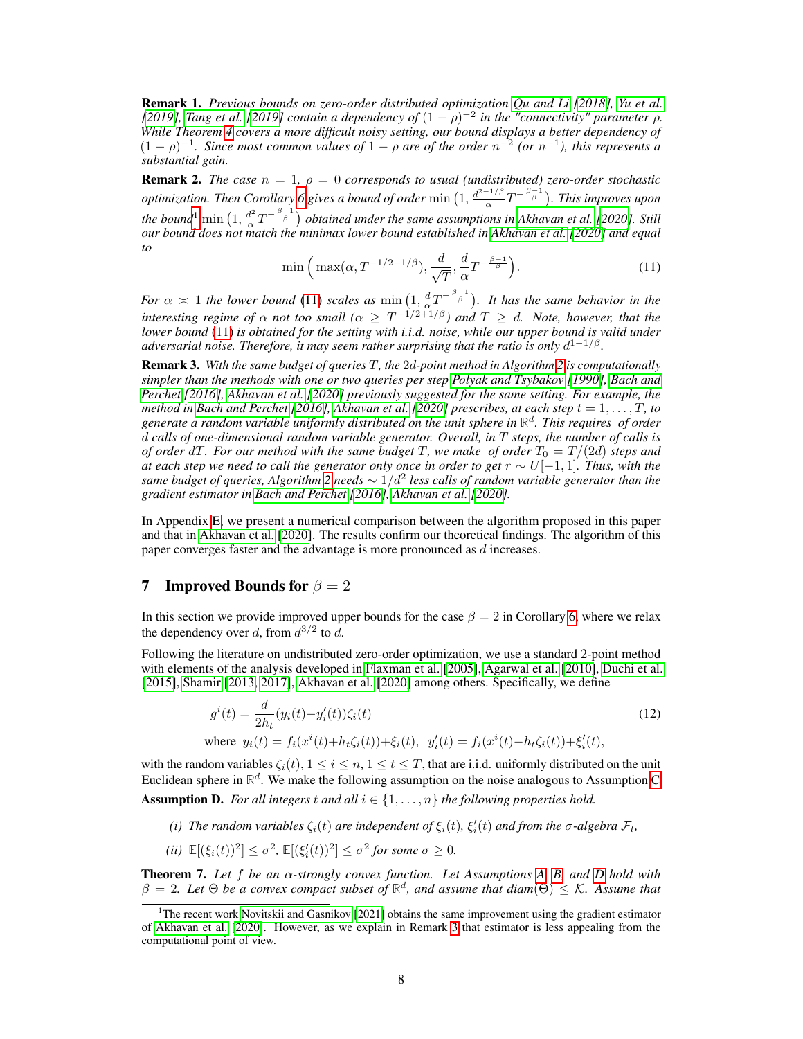Remark 1. *Previous bounds on zero-order distributed optimization [Qu and Li](#page-11-3) [\[2018\]](#page-11-3), [Yu et al.](#page-11-4)* [\[2019\]](#page-11-5), [Tang et al.](#page-11-5) [2019] contain a dependency of  $(1 - \rho)^{-2}$  in the "connectivity" parameter  $\rho$ . *While Theorem [4](#page-5-5) covers a more difficult noisy setting, our bound displays a better dependency of*  $(1 - \rho)^{-1}$ . Since most common values of  $1 - \rho$  are of the order  $n^{-2}$  (or  $n^{-1}$ ), this represents a *substantial gain.*

<span id="page-7-7"></span>**Remark 2.** *The case*  $n = 1$ ,  $\rho = 0$  *corresponds to usual (undistributed) zero-order stochastic optimization. Then Corollary* [6](#page-6-2) gives a bound of order  $\min\left(1, \frac{d^{2-1/\beta}}{\alpha}\right)$  $\frac{e^{-1/\beta}}{\alpha}T^{-\frac{\beta-1}{\beta}}$ ). This improves upon *the bound*<sup>[1](#page-7-1)</sup> min  $\left(1, \frac{d^2}{\alpha}\right)$  $\frac{d^2}{\alpha}T^{-\frac{\beta-1}{\beta}}$  obtained under the same assumptions in [Akhavan et al.](#page-9-1) [\[2020\]](#page-9-1). Still *our bound does not match the minimax lower bound established in [Akhavan et al.](#page-9-1) [\[2020\]](#page-9-1) and equal to*

$$
\min\left(\max(\alpha, T^{-1/2+1/\beta}), \frac{d}{\sqrt{T}}, \frac{d}{\alpha}T^{-\frac{\beta-1}{\beta}}\right). \tag{11}
$$

<span id="page-7-2"></span>*For*  $\alpha \approx 1$  *the lower bound* [\(11\)](#page-7-2) *scales as*  $\min(1, \frac{d}{\alpha}T^{-\frac{\beta-1}{\beta}})$ *. It has the same behavior in the interesting regime of*  $\alpha$  *not too small* ( $\alpha \geq T^{-1/2+1/\beta}$ ) and  $T \geq d$ . Note, however, that the *lower bound* [\(11\)](#page-7-2) *is obtained for the setting with i.i.d. noise, while our upper bound is valid under adversarial noise. Therefore, it may seem rather surprising that the ratio is only*  $d^{1-1/β}$ .

<span id="page-7-4"></span>Remark 3. *With the same budget of queries* T*, the* 2d*-point method in Algorithm [2](#page-3-2) is computationally simpler than the methods with one or two queries per step [Polyak and Tsybakov](#page-10-14) [\[1990\]](#page-10-14), [Bach and](#page-9-2) [Perchet](#page-9-2) [\[2016\]](#page-9-2), [Akhavan et al.](#page-9-1) [\[2020\]](#page-9-1) previously suggested for the same setting. For example, the method in [Bach and Perchet](#page-9-2)* [\[2016\]](#page-9-2), *Akhavan et al.* [\[2020\]](#page-9-1) *prescribes, at each step*  $t = 1, \ldots, T$ *, to generate a random variable uniformly distributed on the unit sphere in* **R** d *. This requires of order* d *calls of one-dimensional random variable generator. Overall, in* T *steps, the number of calls is of order*  $dT$ *. For our method with the same budget* T, we make of order  $T_0 = T/(2d)$  *steps and at each step we need to call the generator only once in order to get*  $r \sim U[-1,1]$ *. Thus, with the same budget of queries, Algorithm [2](#page-3-2) needs* ∼ 1/d<sup>2</sup> *less calls of random variable generator than the gradient estimator in [Bach and Perchet](#page-9-2) [\[2016\]](#page-9-2), [Akhavan et al.](#page-9-1) [\[2020\]](#page-9-1).*

In Appendix [E,](#page--1-2) we present a numerical comparison between the algorithm proposed in this paper and that in [Akhavan et al.](#page-9-1) [\[2020\]](#page-9-1). The results confirm our theoretical findings. The algorithm of this paper converges faster and the advantage is more pronounced as d increases.

## <span id="page-7-0"></span>7 Improved Bounds for  $\beta = 2$

In this section we provide improved upper bounds for the case  $\beta = 2$  in Corollary [6,](#page-6-2) where we relax the dependency over d, from  $d^{3/2}$  to d.

Following the literature on undistributed zero-order optimization, we use a standard 2-point method with elements of the analysis developed in [Flaxman et al.](#page-10-15) [\[2005\]](#page-10-15), [Agarwal et al.](#page-9-4) [\[2010\]](#page-9-4), [Duchi et al.](#page-10-16) [\[2015\]](#page-10-16), [Shamir](#page-11-9) [\[2013,](#page-11-9) [2017\]](#page-11-10), [Akhavan et al.](#page-9-1) [\[2020\]](#page-9-1) among others. Specifically, we define

<span id="page-7-5"></span>
$$
g^{i}(t) = \frac{d}{2h_{t}}(y_{i}(t) - y'_{i}(t))\zeta_{i}(t)
$$
  
where  $y_{i}(t) = f_{i}(x^{i}(t) + h_{t}\zeta_{i}(t)) + \xi_{i}(t), y'_{i}(t) = f_{i}(x^{i}(t) - h_{t}\zeta_{i}(t)) + \xi'_{i}(t),$  (12)

<span id="page-7-3"></span>with the random variables  $\zeta_i(t)$ ,  $1 \le i \le n$ ,  $1 \le t \le T$ , that are i.i.d. uniformly distributed on the unit Euclidean sphere in  $\mathbb{R}^d$ . We make the following assumption on the noise analogous to Assumption [C.](#page-4-3) **Assumption D.** For all integers t and all  $i \in \{1, \ldots, n\}$  the following properties hold.

- (i) The random variables  $\zeta_i(t)$  are independent of  $\xi_i(t)$ ,  $\xi'_i(t)$  and from the  $\sigma$ -algebra  $\mathcal{F}_t$ ,
- (*ii*)  $\mathbb{E}[(\xi_i(t))^2] \leq \sigma^2$ ,  $\mathbb{E}[(\xi'_i(t))^2] \leq \sigma^2$  for some  $\sigma \geq 0$ .

<span id="page-7-6"></span>Theorem 7. *Let* f *be an* α*-strongly convex function. Let Assumptions [A,](#page-2-2) [B,](#page-3-1) and [D](#page-7-3) hold with*  $\beta = 2$ . Let  $\Theta$  be a convex compact subset of  $\mathbb{R}^d$ , and assume that diam( $\Theta$ )  $\leq$  K. Assume that

<span id="page-7-1"></span><sup>&</sup>lt;sup>1</sup>The recent work [Novitskii and Gasnikov](#page-10-17) [\[2021\]](#page-10-17) obtains the same improvement using the gradient estimator of [Akhavan et al.](#page-9-1) [\[2020\]](#page-9-1). However, as we explain in Remark [3](#page-7-4) that estimator is less appealing from the computational point of view.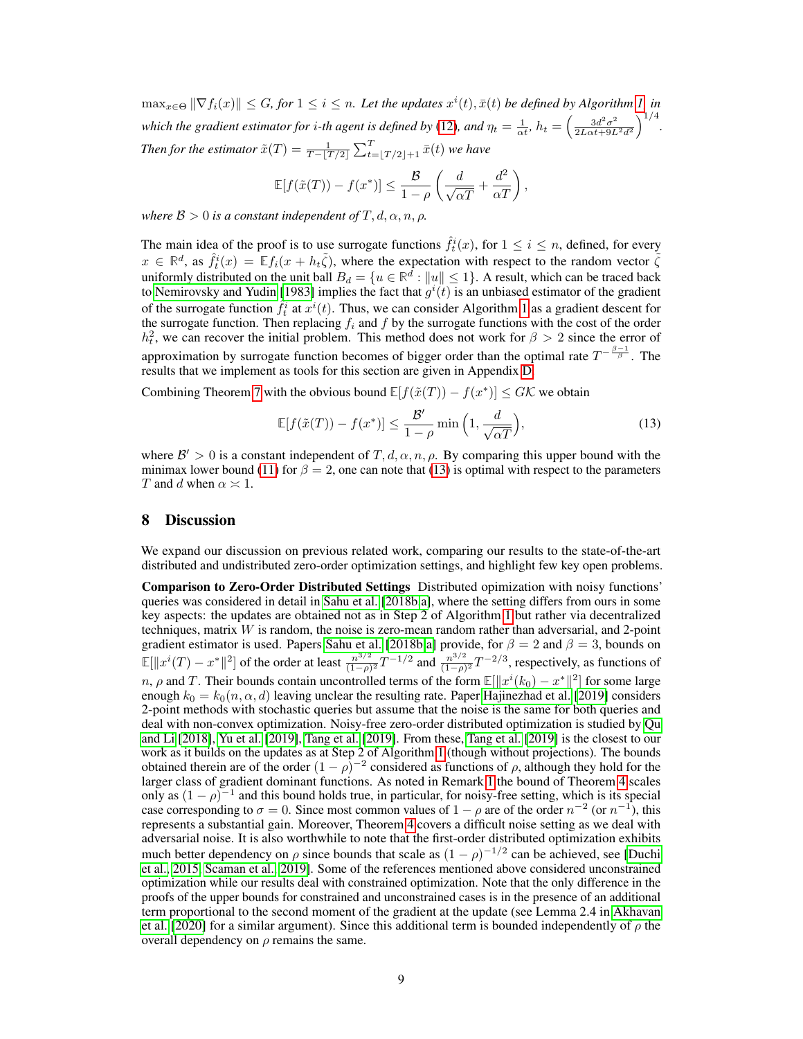$\max_{x \in \Theta} \|\nabla f_i(x)\| \leq G$ , for  $1 \leq i \leq n$ . Let the updates  $x^i(t)$ ,  $\bar{x}(t)$  be defined by Algorithm [1,](#page-2-1) in which the gradient estimator for *i*-th agent is defined by [\(12\)](#page-7-5), and  $\eta_t = \frac{1}{\alpha t}$ ,  $h_t = \left(\frac{3d^2\sigma^2}{2L\alpha t + 9L}\right)$  $\frac{3d^2\sigma^2}{2L\alpha t+9L^2d^2}\Big)^{1/4}.$ Then for the estimator  $\tilde{x}(T) = \frac{1}{T - \lfloor T/2 \rfloor} \sum_{t= \lfloor T/2 \rfloor + 1}^{T} \bar{x}(t)$  we have

$$
\mathbb{E}[f(\tilde{x}(T)) - f(x^*)] \le \frac{\mathcal{B}}{1 - \rho} \left( \frac{d}{\sqrt{\alpha T}} + \frac{d^2}{\alpha T} \right),\,
$$

*where*  $\mathcal{B} > 0$  *is a constant independent of*  $T, d, \alpha, n, \rho$ *.* 

The main idea of the proof is to use surrogate functions  $\hat{f}_t^i(x)$ , for  $1 \leq i \leq n$ , defined, for every  $x \in \mathbb{R}^d$ , as  $\hat{f}_t^i(x) = \mathbb{E} f_i(x + h_t\tilde{\zeta})$ , where the expectation with respect to the random vector  $\tilde{\zeta}$  $x \in \mathbb{R}$ , as  $f_t(x) = \mathbb{L} f_i(x + h_t \zeta)$ , where the expectation with respect to the random vector  $\zeta$  uniformly distributed on the unit ball  $B_d = \{u \in \mathbb{R}^d : ||u|| \leq 1\}$ . A result, which can be traced back to [Nemirovsky and Yudin](#page-10-18) [\[1983\]](#page-10-18) implies the fact that  $g^{i}(t)$  is an unbiased estimator of the gradient of the surrogate function  $\hat{f}_t^i$  at  $x^i(t)$ . Thus, we can consider Algorithm [1](#page-2-1) as a gradient descent for the surrogate function. Then replacing  $f_i$  and  $f$  by the surrogate functions with the cost of the order  $h_t^2$ , we can recover the initial problem. This method does not work for  $\beta > 2$  since the error of approximation by surrogate function becomes of bigger order than the optimal rate  $T^{-\frac{\beta-1}{\beta}}$ . The results that we implement as tools for this section are given in Appendix [D.](#page--1-3)

Combining Theorem [7](#page-7-6) with the obvious bound  $\mathbb{E}[f(\tilde{x}(T)) - f(x^*)] \leq G\mathcal{K}$  we obtain

<span id="page-8-1"></span>
$$
\mathbb{E}[f(\tilde{x}(T)) - f(x^*)] \le \frac{\mathcal{B}'}{1 - \rho} \min\left(1, \frac{d}{\sqrt{\alpha T}}\right),\tag{13}
$$

where  $\mathcal{B}' > 0$  is a constant independent of  $T, d, \alpha, n, \rho$ . By comparing this upper bound with the minimax lower bound [\(11\)](#page-7-2) for  $\beta = 2$ , one can note that [\(13\)](#page-8-1) is optimal with respect to the parameters T and d when  $\alpha \approx 1$ .

## <span id="page-8-0"></span>8 Discussion

We expand our discussion on previous related work, comparing our results to the state-of-the-art distributed and undistributed zero-order optimization settings, and highlight few key open problems.

Comparison to Zero-Order Distributed Settings Distributed opimization with noisy functions' queries was considered in detail in [Sahu et al.](#page-11-6) [\[2018b,](#page-11-6)[a\]](#page-11-7), where the setting differs from ours in some key aspects: the updates are obtained not as in Step 2 of Algorithm [1](#page-2-1) but rather via decentralized techniques, matrix W is random, the noise is zero-mean random rather than adversarial, and 2-point gradient estimator is used. Papers [Sahu et al.](#page-11-6) [\[2018b,](#page-11-6)[a\]](#page-11-7) provide, for  $\beta = 2$  and  $\beta = 3$ , bounds on  $\mathbb{E}[\Vert x^i(T) - x^* \Vert^2]$  of the order at least  $\frac{n^{3/2}}{(1-\alpha)}$  $\frac{n^{3/2}}{(1-\rho)^2}T^{-1/2}$  and  $\frac{n^{3/2}}{(1-\rho)}$  $\frac{n^{3/2}}{(1-\rho)^2}T^{-2/3}$ , respectively, as functions of n,  $\rho$  and T. Their bounds contain uncontrolled terms of the form  $\mathbb{E}[\Vert x^{i}(k_0) - x^* \Vert^2]$  for some large enough  $k_0 = k_0(n, \alpha, d)$  leaving unclear the resulting rate. Paper [Hajinezhad et al.](#page-10-11) [\[2019\]](#page-10-11) considers 2-point methods with stochastic queries but assume that the noise is the same for both queries and deal with non-convex optimization. Noisy-free zero-order distributed optimization is studied by [Qu](#page-11-3) [and Li](#page-11-3) [\[2018\]](#page-11-3), [Yu et al.](#page-11-4) [\[2019\]](#page-11-4), [Tang et al.](#page-11-5) [\[2019\]](#page-11-5). From these, [Tang et al.](#page-11-5) [\[2019\]](#page-11-5) is the closest to our work as it builds on the updates as at Step 2 of Algorithm [1](#page-2-1) (though without projections). The bounds obtained therein are of the order  $(1 - \rho)^{-2}$  considered as functions of  $\rho$ , although they hold for the larger class of gradient dominant functions. As noted in Remark [1](#page-6-3) the bound of Theorem [4](#page-5-5) scales only as  $(1 - \rho)^{-1}$  and this bound holds true, in particular, for noisy-free setting, which is its special case corresponding to  $\sigma = 0$ . Since most common values of  $1 - \rho$  are of the order  $n^{-2}$  (or  $n^{-1}$ ), this represents a substantial gain. Moreover, Theorem [4](#page-5-5) covers a difficult noise setting as we deal with adversarial noise. It is also worthwhile to note that the first-order distributed optimization exhibits much better dependency on  $\rho$  since bounds that scale as  $(1 - \rho)^{-1/2}$  can be achieved, see [\[Duchi](#page-10-16) [et al., 2015,](#page-10-16) [Scaman et al., 2019\]](#page-11-2). Some of the references mentioned above considered unconstrained optimization while our results deal with constrained optimization. Note that the only difference in the proofs of the upper bounds for constrained and unconstrained cases is in the presence of an additional term proportional to the second moment of the gradient at the update (see Lemma 2.4 in [Akhavan](#page-9-1) [et al.](#page-9-1) [\[2020\]](#page-9-1) for a similar argument). Since this additional term is bounded independently of  $\rho$  the overall dependency on  $\rho$  remains the same.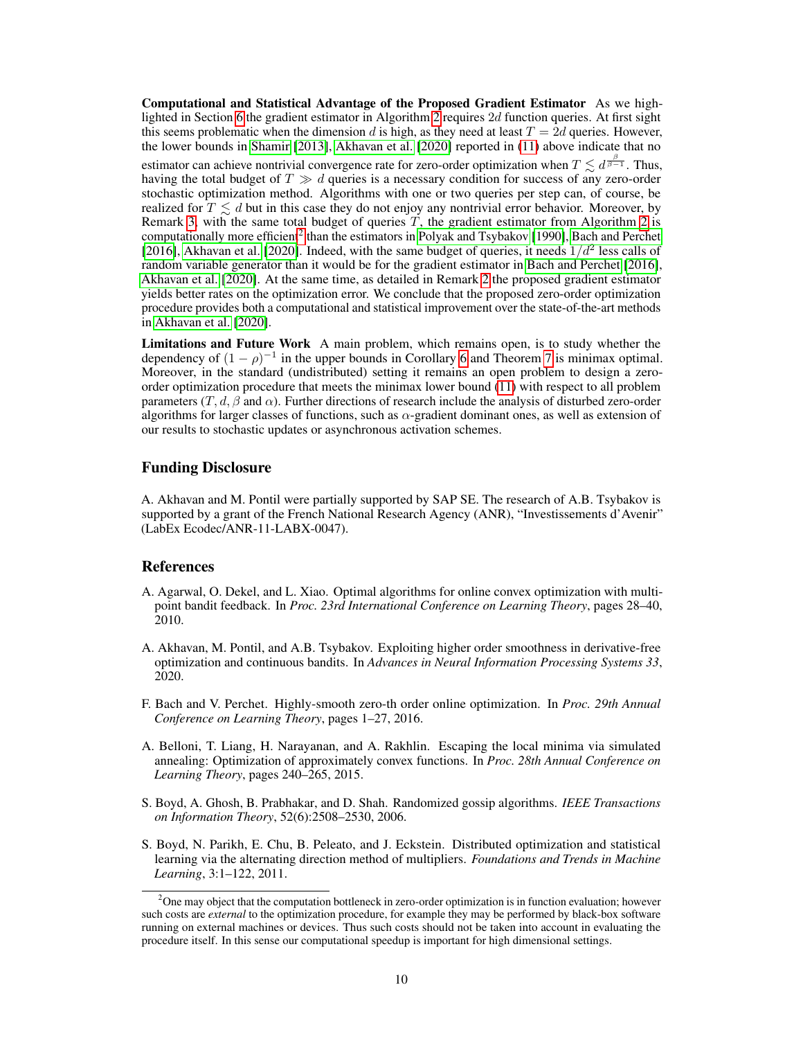Computational and Statistical Advantage of the Proposed Gradient Estimator As we high-lighted in Section [6](#page-5-0) the gradient estimator in Algorithm [2](#page-3-2) requires 2d function queries. At first sight this seems problematic when the dimension d is high, as they need at least  $T = 2d$  queries. However, the lower bounds in [Shamir](#page-11-9) [\[2013\]](#page-11-9), [Akhavan et al.](#page-9-1) [\[2020\]](#page-9-1) reported in [\(11\)](#page-7-2) above indicate that no estimator can achieve nontrivial convergence rate for zero-order optimization when  $T \lesssim d^{\frac{\beta}{\beta-1}}$ . Thus, having the total budget of  $T \gg d$  queries is a necessary condition for success of any zero-order stochastic optimization method. Algorithms with one or two queries per step can, of course, be realized for  $T \lesssim d$  but in this case they do not enjoy any nontrivial error behavior. Moreover, by Remark [3,](#page-7-4) with the same total budget of queries  $T$ , the gradient estimator from Algorithm [2](#page-3-2) is computationally more efficient<sup>[2](#page-9-5)</sup> than the estimators in [Polyak and Tsybakov](#page-10-14) [\[1990\]](#page-10-14), [Bach and Perchet](#page-9-2) [\[2016\]](#page-9-2), [Akhavan et al.](#page-9-1) [\[2020\]](#page-9-1). Indeed, with the same budget of queries, it needs  $1/d^2$  less calls of random variable generator than it would be for the gradient estimator in [Bach and Perchet](#page-9-2) [\[2016\]](#page-9-2), [Akhavan et al.](#page-9-1) [\[2020\]](#page-9-1). At the same time, as detailed in Remark [2](#page-7-7) the proposed gradient estimator yields better rates on the optimization error. We conclude that the proposed zero-order optimization procedure provides both a computational and statistical improvement over the state-of-the-art methods in [Akhavan et al.](#page-9-1) [\[2020\]](#page-9-1).

Limitations and Future Work A main problem, which remains open, is to study whether the dependency of  $(1 - \rho)^{-1}$  in the upper bounds in Corollary [6](#page-6-2) and Theorem [7](#page-7-6) is minimax optimal. Moreover, in the standard (undistributed) setting it remains an open problem to design a zeroorder optimization procedure that meets the minimax lower bound [\(11\)](#page-7-2) with respect to all problem parameters  $(T, d, \beta \text{ and } \alpha)$ . Further directions of research include the analysis of disturbed zero-order algorithms for larger classes of functions, such as  $\alpha$ -gradient dominant ones, as well as extension of our results to stochastic updates or asynchronous activation schemes.

## Funding Disclosure

A. Akhavan and M. Pontil were partially supported by SAP SE. The research of A.B. Tsybakov is supported by a grant of the French National Research Agency (ANR), "Investissements d'Avenir" (LabEx Ecodec/ANR-11-LABX-0047).

#### References

- <span id="page-9-4"></span>A. Agarwal, O. Dekel, and L. Xiao. Optimal algorithms for online convex optimization with multipoint bandit feedback. In *Proc. 23rd International Conference on Learning Theory*, pages 28–40, 2010.
- <span id="page-9-1"></span>A. Akhavan, M. Pontil, and A.B. Tsybakov. Exploiting higher order smoothness in derivative-free optimization and continuous bandits. In *Advances in Neural Information Processing Systems 33*, 2020.
- <span id="page-9-2"></span>F. Bach and V. Perchet. Highly-smooth zero-th order online optimization. In *Proc. 29th Annual Conference on Learning Theory*, pages 1–27, 2016.
- A. Belloni, T. Liang, H. Narayanan, and A. Rakhlin. Escaping the local minima via simulated annealing: Optimization of approximately convex functions. In *Proc. 28th Annual Conference on Learning Theory*, pages 240–265, 2015.
- <span id="page-9-3"></span>S. Boyd, A. Ghosh, B. Prabhakar, and D. Shah. Randomized gossip algorithms. *IEEE Transactions on Information Theory*, 52(6):2508–2530, 2006.
- <span id="page-9-0"></span>S. Boyd, N. Parikh, E. Chu, B. Peleato, and J. Eckstein. Distributed optimization and statistical learning via the alternating direction method of multipliers. *Foundations and Trends in Machine Learning*, 3:1–122, 2011.

<span id="page-9-5"></span><sup>&</sup>lt;sup>2</sup>One may object that the computation bottleneck in zero-order optimization is in function evaluation; however such costs are *external* to the optimization procedure, for example they may be performed by black-box software running on external machines or devices. Thus such costs should not be taken into account in evaluating the procedure itself. In this sense our computational speedup is important for high dimensional settings.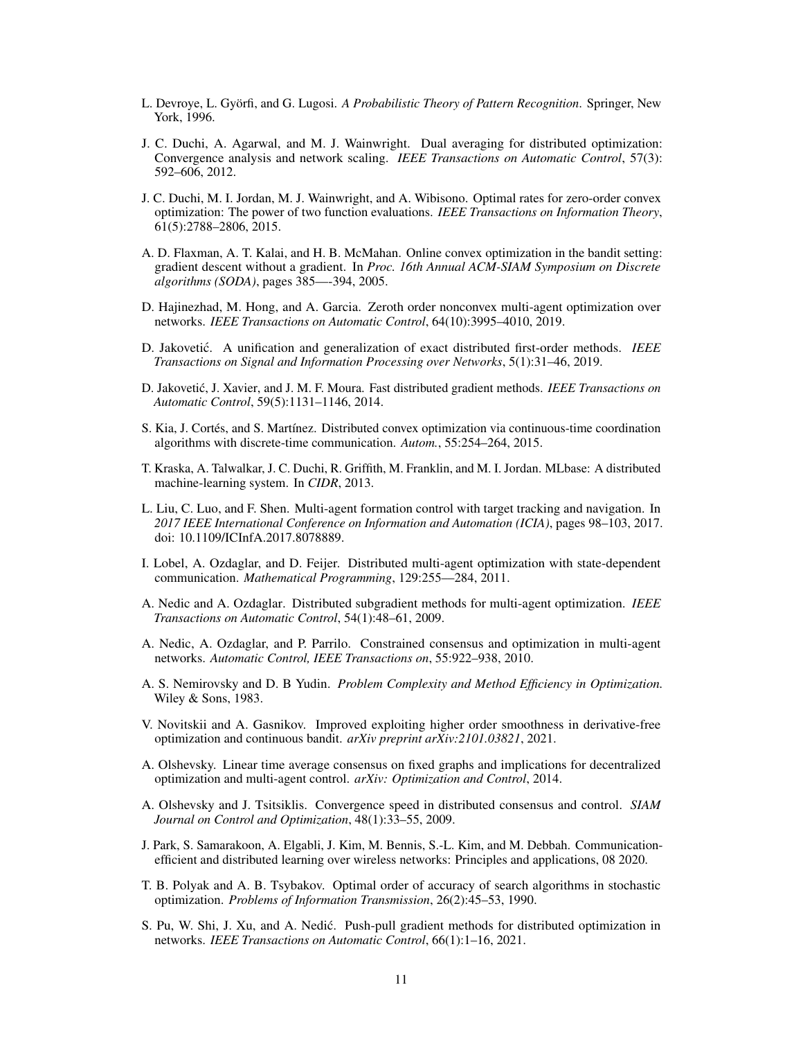- L. Devroye, L. Györfi, and G. Lugosi. *A Probabilistic Theory of Pattern Recognition*. Springer, New York, 1996.
- <span id="page-10-2"></span>J. C. Duchi, A. Agarwal, and M. J. Wainwright. Dual averaging for distributed optimization: Convergence analysis and network scaling. *IEEE Transactions on Automatic Control*, 57(3): 592–606, 2012.
- <span id="page-10-16"></span>J. C. Duchi, M. I. Jordan, M. J. Wainwright, and A. Wibisono. Optimal rates for zero-order convex optimization: The power of two function evaluations. *IEEE Transactions on Information Theory*, 61(5):2788–2806, 2015.
- <span id="page-10-15"></span>A. D. Flaxman, A. T. Kalai, and H. B. McMahan. Online convex optimization in the bandit setting: gradient descent without a gradient. In *Proc. 16th Annual ACM-SIAM Symposium on Discrete algorithms (SODA)*, pages 385—-394, 2005.
- <span id="page-10-11"></span>D. Hajinezhad, M. Hong, and A. Garcia. Zeroth order nonconvex multi-agent optimization over networks. *IEEE Transactions on Automatic Control*, 64(10):3995–4010, 2019.
- <span id="page-10-6"></span>D. Jakovetić. A unification and generalization of exact distributed first-order methods. *IEEE Transactions on Signal and Information Processing over Networks*, 5(1):31–46, 2019.
- <span id="page-10-3"></span>D. Jakovetić, J. Xavier, and J. M. F. Moura. Fast distributed gradient methods. *IEEE Transactions on Automatic Control*, 59(5):1131–1146, 2014.
- <span id="page-10-5"></span>S. Kia, J. Cortés, and S. Martínez. Distributed convex optimization via continuous-time coordination algorithms with discrete-time communication. *Autom.*, 55:254–264, 2015.
- <span id="page-10-9"></span>T. Kraska, A. Talwalkar, J. C. Duchi, R. Griffith, M. Franklin, and M. I. Jordan. MLbase: A distributed machine-learning system. In *CIDR*, 2013.
- <span id="page-10-8"></span>L. Liu, C. Luo, and F. Shen. Multi-agent formation control with target tracking and navigation. In *2017 IEEE International Conference on Information and Automation (ICIA)*, pages 98–103, 2017. doi: 10.1109/ICInfA.2017.8078889.
- <span id="page-10-4"></span>I. Lobel, A. Ozdaglar, and D. Feijer. Distributed multi-agent optimization with state-dependent communication. *Mathematical Programming*, 129:255––284, 2011.
- <span id="page-10-0"></span>A. Nedic and A. Ozdaglar. Distributed subgradient methods for multi-agent optimization. *IEEE Transactions on Automatic Control*, 54(1):48–61, 2009.
- <span id="page-10-1"></span>A. Nedic, A. Ozdaglar, and P. Parrilo. Constrained consensus and optimization in multi-agent networks. *Automatic Control, IEEE Transactions on*, 55:922–938, 2010.
- <span id="page-10-18"></span>A. S. Nemirovsky and D. B Yudin. *Problem Complexity and Method Efficiency in Optimization.* Wiley & Sons, 1983.
- <span id="page-10-17"></span>V. Novitskii and A. Gasnikov. Improved exploiting higher order smoothness in derivative-free optimization and continuous bandit. *arXiv preprint arXiv:2101.03821*, 2021.
- <span id="page-10-12"></span>A. Olshevsky. Linear time average consensus on fixed graphs and implications for decentralized optimization and multi-agent control. *arXiv: Optimization and Control*, 2014.
- <span id="page-10-13"></span>A. Olshevsky and J. Tsitsiklis. Convergence speed in distributed consensus and control. *SIAM Journal on Control and Optimization*, 48(1):33–55, 2009.
- <span id="page-10-10"></span>J. Park, S. Samarakoon, A. Elgabli, J. Kim, M. Bennis, S.-L. Kim, and M. Debbah. Communicationefficient and distributed learning over wireless networks: Principles and applications, 08 2020.
- <span id="page-10-14"></span>T. B. Polyak and A. B. Tsybakov. Optimal order of accuracy of search algorithms in stochastic optimization. *Problems of Information Transmission*, 26(2):45–53, 1990.
- <span id="page-10-7"></span>S. Pu, W. Shi, J. Xu, and A. Nedic. Push-pull gradient methods for distributed optimization in ´ networks. *IEEE Transactions on Automatic Control*, 66(1):1–16, 2021.